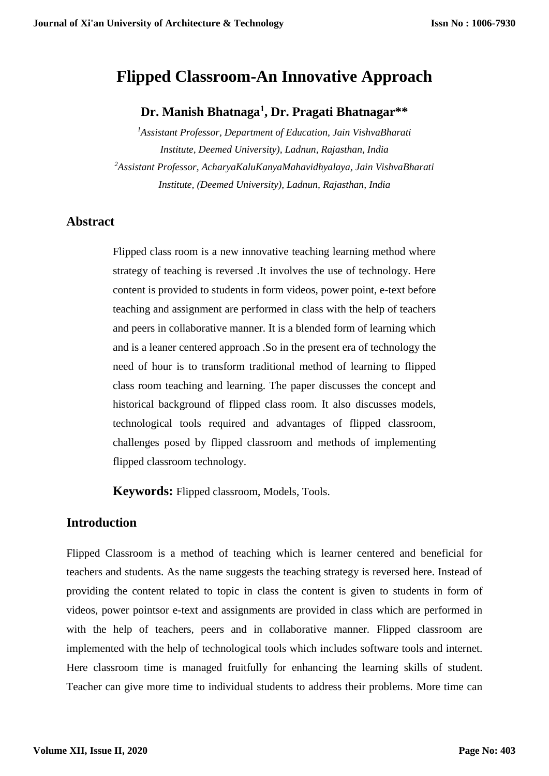# **Flipped Classroom-An Innovative Approach**

# **Dr. Manish Bhatnaga<sup>1</sup> , Dr. Pragati Bhatnagar\*\***

*<sup>1</sup>Assistant Professor, Department of Education, Jain VishvaBharati Institute, Deemed University), Ladnun, Rajasthan, India <sup>2</sup>Assistant Professor, AcharyaKaluKanyaMahavidhyalaya, Jain VishvaBharati Institute, (Deemed University), Ladnun, Rajasthan, India*

### **Abstract**

Flipped class room is a new innovative teaching learning method where strategy of teaching is reversed .It involves the use of technology. Here content is provided to students in form videos, power point, e-text before teaching and assignment are performed in class with the help of teachers and peers in collaborative manner. It is a blended form of learning which and is a leaner centered approach .So in the present era of technology the need of hour is to transform traditional method of learning to flipped class room teaching and learning. The paper discusses the concept and historical background of flipped class room. It also discusses models, technological tools required and advantages of flipped classroom, challenges posed by flipped classroom and methods of implementing flipped classroom technology.

**Keywords:** Flipped classroom, Models, Tools.

### **Introduction**

Flipped Classroom is a method of teaching which is learner centered and beneficial for teachers and students. As the name suggests the teaching strategy is reversed here. Instead of providing the content related to topic in class the content is given to students in form of videos, power pointsor e-text and assignments are provided in class which are performed in with the help of teachers, peers and in collaborative manner. Flipped classroom are implemented with the help of technological tools which includes software tools and internet. Here classroom time is managed fruitfully for enhancing the learning skills of student. Teacher can give more time to individual students to address their problems. More time can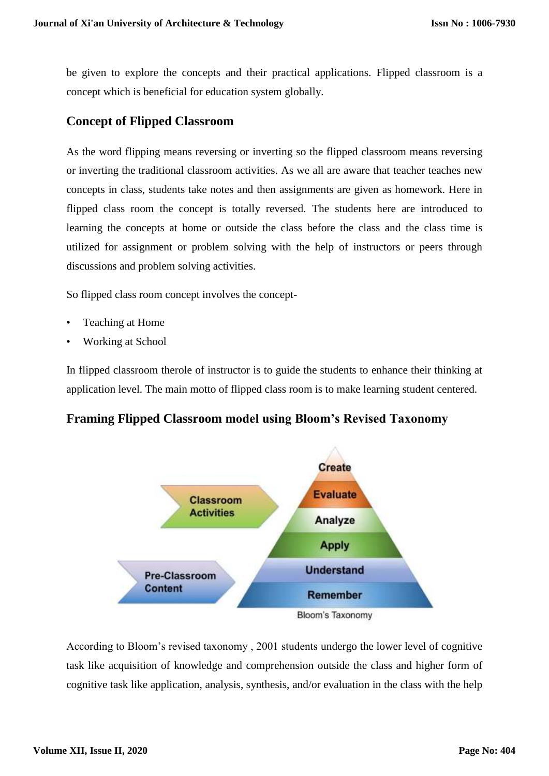be given to explore the concepts and their practical applications. Flipped classroom is a concept which is beneficial for education system globally.

# **Concept of Flipped Classroom**

As the word flipping means reversing or inverting so the flipped classroom means reversing or inverting the traditional classroom activities. As we all are aware that teacher teaches new concepts in class, students take notes and then assignments are given as homework. Here in flipped class room the concept is totally reversed. The students here are introduced to learning the concepts at home or outside the class before the class and the class time is utilized for assignment or problem solving with the help of instructors or peers through discussions and problem solving activities.

So flipped class room concept involves the concept-

- Teaching at Home
- Working at School

In flipped classroom therole of instructor is to guide the students to enhance their thinking at application level. The main motto of flipped class room is to make learning student centered.

# **Framing Flipped Classroom model using Bloom's Revised Taxonomy**



According to Bloom's revised taxonomy , 2001 students undergo the lower level of cognitive task like acquisition of knowledge and comprehension outside the class and higher form of cognitive task like application, analysis, synthesis, and/or evaluation in the class with the help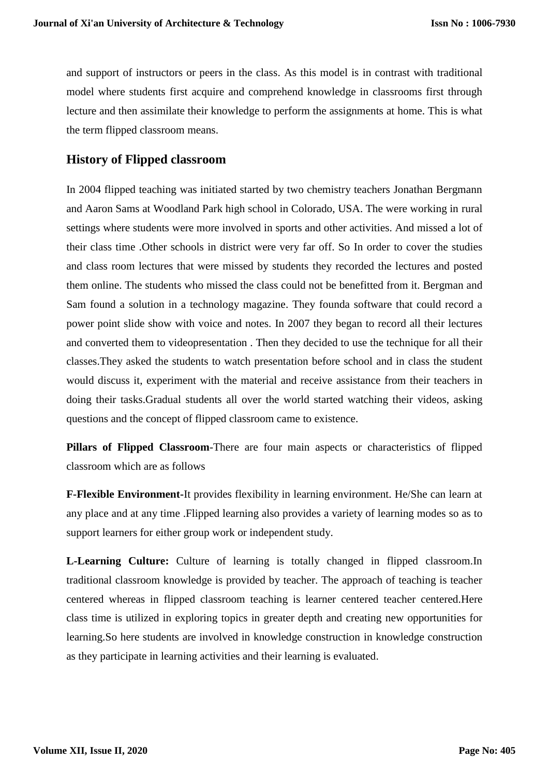and support of instructors or peers in the class. As this model is in contrast with traditional model where students first acquire and comprehend knowledge in classrooms first through lecture and then assimilate their knowledge to perform the assignments at home. This is what the term flipped classroom means.

# **History of Flipped classroom**

In 2004 flipped teaching was initiated started by two chemistry teachers Jonathan Bergmann and Aaron Sams at Woodland Park high school in Colorado, USA. The were working in rural settings where students were more involved in sports and other activities. And missed a lot of their class time .Other schools in district were very far off. So In order to cover the studies and class room lectures that were missed by students they recorded the lectures and posted them online. The students who missed the class could not be benefitted from it. Bergman and Sam found a solution in a technology magazine. They founda software that could record a power point slide show with voice and notes. In 2007 they began to record all their lectures and converted them to videopresentation . Then they decided to use the technique for all their classes.They asked the students to watch presentation before school and in class the student would discuss it, experiment with the material and receive assistance from their teachers in doing their tasks.Gradual students all over the world started watching their videos, asking questions and the concept of flipped classroom came to existence.

**Pillars of Flipped Classroom**-There are four main aspects or characteristics of flipped classroom which are as follows

**F-Flexible Environment-**It provides flexibility in learning environment. He/She can learn at any place and at any time .Flipped learning also provides a variety of learning modes so as to support learners for either group work or independent study.

**L-Learning Culture:** Culture of learning is totally changed in flipped classroom.In traditional classroom knowledge is provided by teacher. The approach of teaching is teacher centered whereas in flipped classroom teaching is learner centered teacher centered.Here class time is utilized in exploring topics in greater depth and creating new opportunities for learning.So here students are involved in knowledge construction in knowledge construction as they participate in learning activities and their learning is evaluated.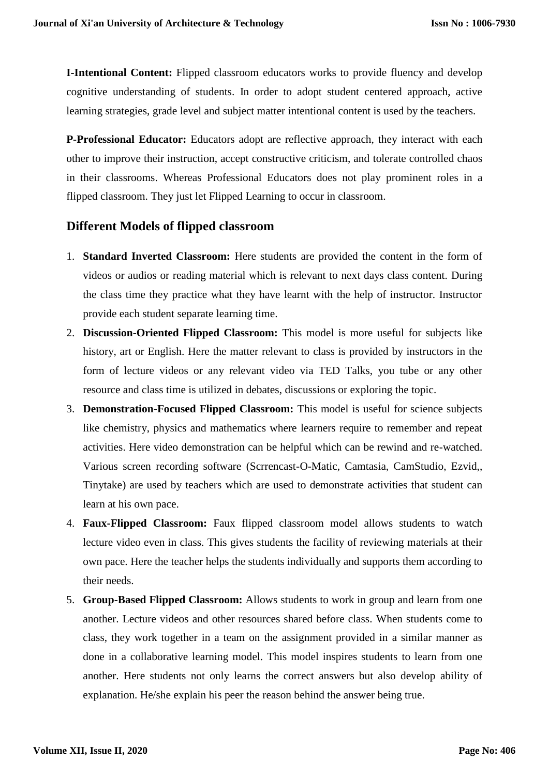**I-Intentional Content:** Flipped classroom educators works to provide fluency and develop cognitive understanding of students. In order to adopt student centered approach, active learning strategies, grade level and subject matter intentional content is used by the teachers.

**P-Professional Educator:** Educators adopt are reflective approach, they interact with each other to improve their instruction, accept constructive criticism, and tolerate controlled chaos in their classrooms. Whereas Professional Educators does not play prominent roles in a flipped classroom. They just let Flipped Learning to occur in classroom.

### **Different Models of flipped classroom**

- 1. **Standard Inverted Classroom:** Here students are provided the content in the form of videos or audios or reading material which is relevant to next days class content. During the class time they practice what they have learnt with the help of instructor. Instructor provide each student separate learning time.
- 2. **Discussion-Oriented Flipped Classroom:** This model is more useful for subjects like history, art or English. Here the matter relevant to class is provided by instructors in the form of lecture videos or any relevant video via TED Talks, you tube or any other resource and class time is utilized in debates, discussions or exploring the topic.
- 3. **Demonstration-Focused Flipped Classroom:** This model is useful for science subjects like chemistry, physics and mathematics where learners require to remember and repeat activities. Here video demonstration can be helpful which can be rewind and re-watched. Various screen recording software (Scrrencast-O-Matic, Camtasia, CamStudio, Ezvid,, Tinytake) are used by teachers which are used to demonstrate activities that student can learn at his own pace.
- 4. **Faux-Flipped Classroom:** Faux flipped classroom model allows students to watch lecture video even in class. This gives students the facility of reviewing materials at their own pace. Here the teacher helps the students individually and supports them according to their needs.
- 5. **Group-Based Flipped Classroom:** Allows students to work in group and learn from one another. Lecture videos and other resources shared before class. When students come to class, they work together in a team on the assignment provided in a similar manner as done in a collaborative learning model. This model inspires students to learn from one another. Here students not only learns the correct answers but also develop ability of explanation. He/she explain his peer the reason behind the answer being true.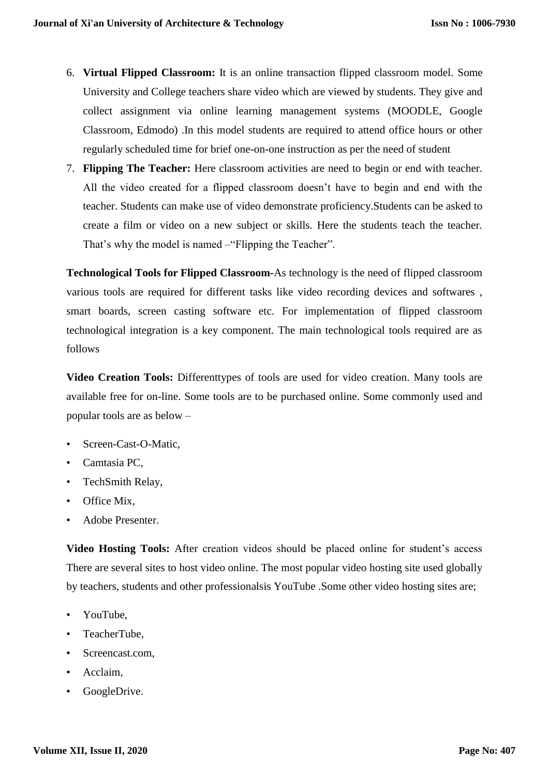- 6. **Virtual Flipped Classroom:** It is an online transaction flipped classroom model. Some University and College teachers share video which are viewed by students. They give and collect assignment via online learning management systems (MOODLE, Google Classroom, Edmodo) .In this model students are required to attend office hours or other regularly scheduled time for brief one-on-one instruction as per the need of student
- 7. **Flipping The Teacher:** Here classroom activities are need to begin or end with teacher. All the video created for a flipped classroom doesn't have to begin and end with the teacher. Students can make use of video demonstrate proficiency.Students can be asked to create a film or video on a new subject or skills. Here the students teach the teacher. That's why the model is named –"Flipping the Teacher".

**Technological Tools for Flipped Classroom-**As technology is the need of flipped classroom various tools are required for different tasks like video recording devices and softwares , smart boards, screen casting software etc. For implementation of flipped classroom technological integration is a key component. The main technological tools required are as follows

**Video Creation Tools:** Differenttypes of tools are used for video creation. Many tools are available free for on-line. Some tools are to be purchased online. Some commonly used and popular tools are as below –

- Screen-Cast-O-Matic,
- Camtasia PC,
- TechSmith Relay,
- Office Mix.
- Adobe Presenter.

**Video Hosting Tools:** After creation videos should be placed online for student's access There are several sites to host video online. The most popular video hosting site used globally by teachers, students and other professionalsis YouTube .Some other video hosting sites are;

- YouTube,
- TeacherTube,
- Screencast.com,
- Acclaim,
- GoogleDrive.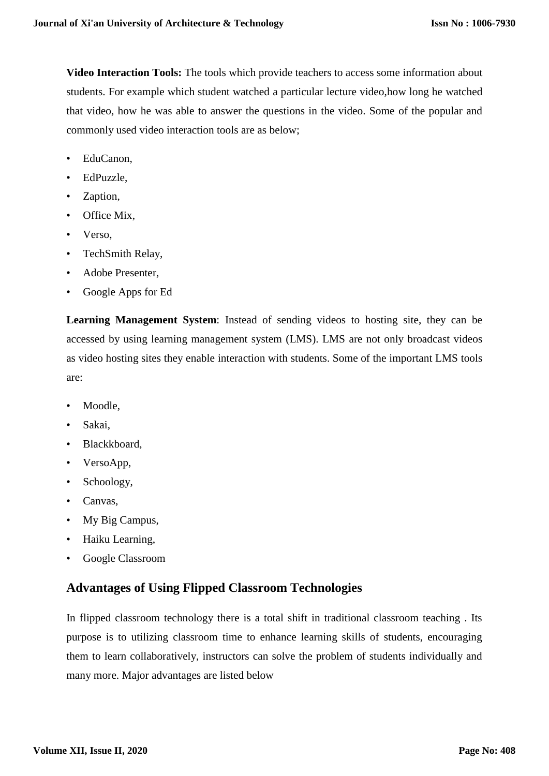**Video Interaction Tools:** The tools which provide teachers to access some information about students. For example which student watched a particular lecture video,how long he watched that video, how he was able to answer the questions in the video. Some of the popular and commonly used video interaction tools are as below;

- EduCanon.
- EdPuzzle,
- Zaption,
- Office Mix,
- Verso,
- TechSmith Relay,
- Adobe Presenter,
- Google Apps for Ed

**Learning Management System**: Instead of sending videos to hosting site, they can be accessed by using learning management system (LMS). LMS are not only broadcast videos as video hosting sites they enable interaction with students. Some of the important LMS tools are:

- Moodle,
- Sakai,
- Blackkboard,
- VersoApp,
- Schoology,
- Canvas,
- My Big Campus,
- Haiku Learning,
- Google Classroom

# **Advantages of Using Flipped Classroom Technologies**

In flipped classroom technology there is a total shift in traditional classroom teaching . Its purpose is to utilizing classroom time to enhance learning skills of students, encouraging them to learn collaboratively, instructors can solve the problem of students individually and many more. Major advantages are listed below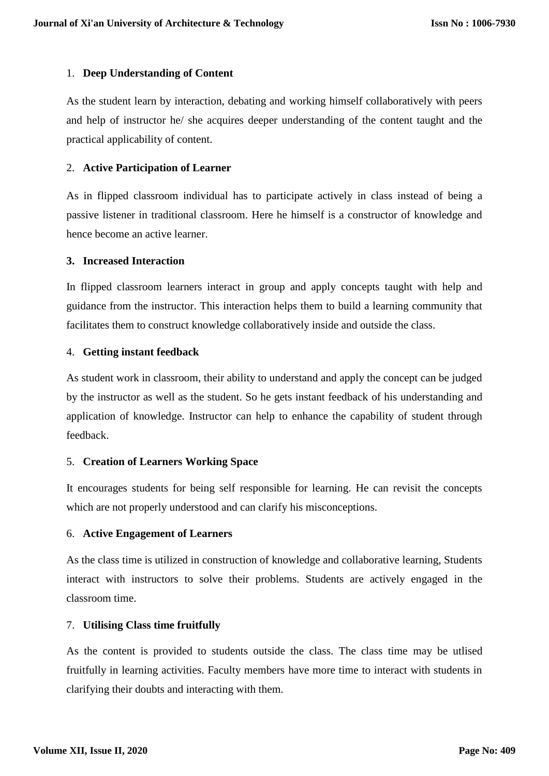### 1. **Deep Understanding of Content**

As the student learn by interaction, debating and working himself collaboratively with peers and help of instructor he/ she acquires deeper understanding of the content taught and the practical applicability of content.

#### 2. **Active Participation of Learner**

As in flipped classroom individual has to participate actively in class instead of being a passive listener in traditional classroom. Here he himself is a constructor of knowledge and hence become an active learner.

#### **3. Increased Interaction**

In flipped classroom learners interact in group and apply concepts taught with help and guidance from the instructor. This interaction helps them to build a learning community that facilitates them to construct knowledge collaboratively inside and outside the class.

#### 4. **Getting instant feedback**

As student work in classroom, their ability to understand and apply the concept can be judged by the instructor as well as the student. So he gets instant feedback of his understanding and application of knowledge. Instructor can help to enhance the capability of student through feedback.

### 5. **Creation of Learners Working Space**

It encourages students for being self responsible for learning. He can revisit the concepts which are not properly understood and can clarify his misconceptions.

#### 6. **Active Engagement of Learners**

As the class time is utilized in construction of knowledge and collaborative learning, Students interact with instructors to solve their problems. Students are actively engaged in the classroom time.

### 7. **Utilising Class time fruitfully**

As the content is provided to students outside the class. The class time may be utlised fruitfully in learning activities. Faculty members have more time to interact with students in clarifying their doubts and interacting with them.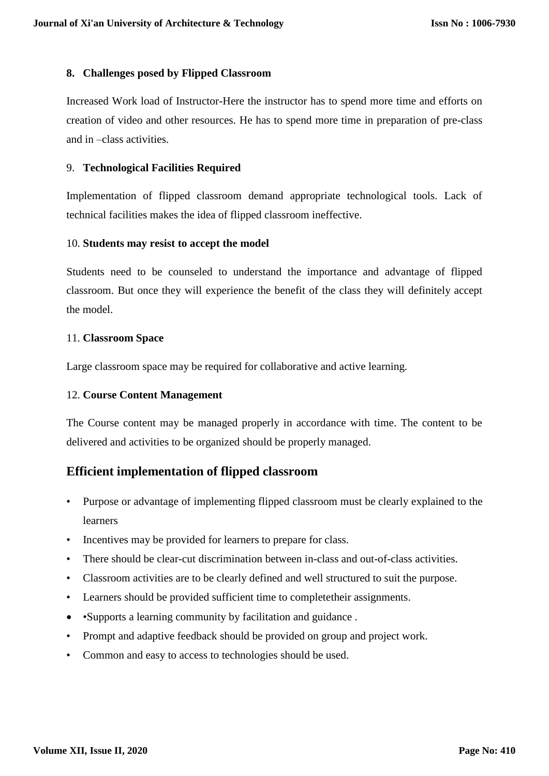#### **8. Challenges posed by Flipped Classroom**

Increased Work load of Instructor-Here the instructor has to spend more time and efforts on creation of video and other resources. He has to spend more time in preparation of pre-class and in –class activities.

#### 9. **Technological Facilities Required**

Implementation of flipped classroom demand appropriate technological tools. Lack of technical facilities makes the idea of flipped classroom ineffective.

#### 10. **Students may resist to accept the model**

Students need to be counseled to understand the importance and advantage of flipped classroom. But once they will experience the benefit of the class they will definitely accept the model.

#### 11. **Classroom Space**

Large classroom space may be required for collaborative and active learning.

### 12. **Course Content Management**

The Course content may be managed properly in accordance with time. The content to be delivered and activities to be organized should be properly managed.

# **Efficient implementation of flipped classroom**

- Purpose or advantage of implementing flipped classroom must be clearly explained to the learners
- Incentives may be provided for learners to prepare for class.
- There should be clear-cut discrimination between in-class and out-of-class activities.
- Classroom activities are to be clearly defined and well structured to suit the purpose.
- Learners should be provided sufficient time to completetheir assignments.
- •Supports a learning community by facilitation and guidance.
- Prompt and adaptive feedback should be provided on group and project work.
- Common and easy to access to technologies should be used.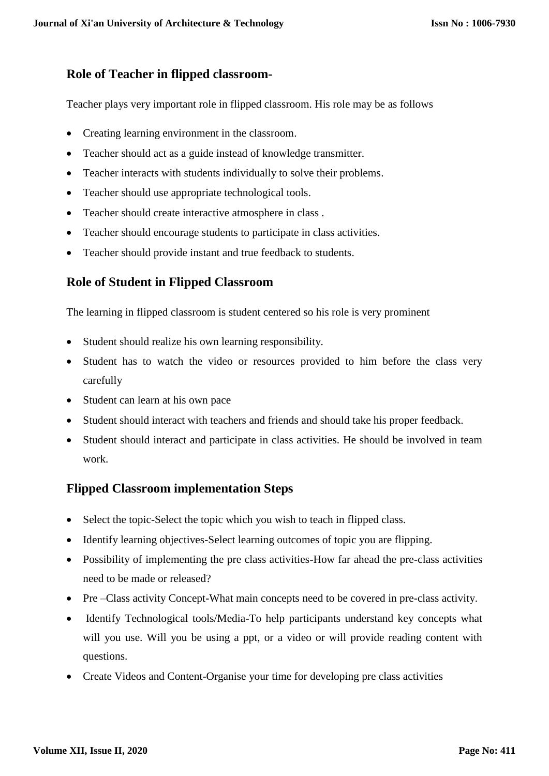# **Role of Teacher in flipped classroom-**

Teacher plays very important role in flipped classroom. His role may be as follows

- Creating learning environment in the classroom.
- Teacher should act as a guide instead of knowledge transmitter.
- Teacher interacts with students individually to solve their problems.
- Teacher should use appropriate technological tools.
- Teacher should create interactive atmosphere in class .
- Teacher should encourage students to participate in class activities.
- Teacher should provide instant and true feedback to students.

# **Role of Student in Flipped Classroom**

The learning in flipped classroom is student centered so his role is very prominent

- Student should realize his own learning responsibility.
- Student has to watch the video or resources provided to him before the class very carefully
- Student can learn at his own pace
- Student should interact with teachers and friends and should take his proper feedback.
- Student should interact and participate in class activities. He should be involved in team work.

# **Flipped Classroom implementation Steps**

- Select the topic-Select the topic which you wish to teach in flipped class.
- Identify learning objectives-Select learning outcomes of topic you are flipping.
- Possibility of implementing the pre class activities-How far ahead the pre-class activities need to be made or released?
- Pre –Class activity Concept-What main concepts need to be covered in pre-class activity.
- Identify Technological tools/Media-To help participants understand key concepts what will you use. Will you be using a ppt, or a video or will provide reading content with questions.
- Create Videos and Content-Organise your time for developing pre class activities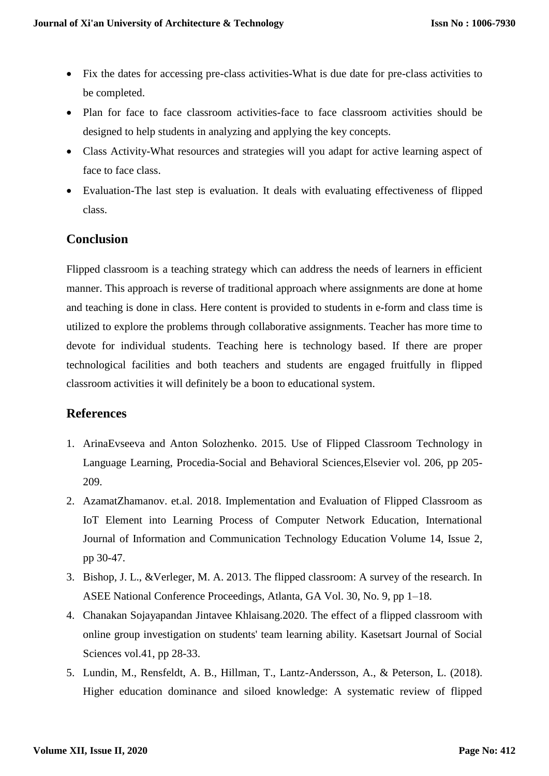- Fix the dates for accessing pre-class activities-What is due date for pre-class activities to be completed.
- Plan for face to face classroom activities-face to face classroom activities should be designed to help students in analyzing and applying the key concepts.
- Class Activity-What resources and strategies will you adapt for active learning aspect of face to face class.
- Evaluation-The last step is evaluation. It deals with evaluating effectiveness of flipped class.

# **Conclusion**

Flipped classroom is a teaching strategy which can address the needs of learners in efficient manner. This approach is reverse of traditional approach where assignments are done at home and teaching is done in class. Here content is provided to students in e-form and class time is utilized to explore the problems through collaborative assignments. Teacher has more time to devote for individual students. Teaching here is technology based. If there are proper technological facilities and both teachers and students are engaged fruitfully in flipped classroom activities it will definitely be a boon to educational system.

# **References**

- 1. ArinaEvseeva and Anton Solozhenko. 2015. Use of Flipped Classroom Technology in Language Learning, Procedia-Social and Behavioral Sciences,Elsevier vol. 206, pp 205- 209.
- 2. AzamatZhamanov. et.al. 2018. Implementation and Evaluation of Flipped Classroom as IoT Element into Learning Process of Computer Network Education, International Journal of Information and Communication Technology Education Volume 14, Issue 2, pp 30-47.
- 3. Bishop, J. L., &Verleger, M. A. 2013. The flipped classroom: A survey of the research. In ASEE National Conference Proceedings, Atlanta, GA Vol. 30, No. 9, pp 1–18.
- 4. Chanakan Sojayapandan Jintavee Khlaisang.2020. The effect of a flipped classroom with online group investigation on students' team learning ability. Kasetsart Journal of Social Sciences vol.41, pp 28-33.
- 5. Lundin, M., Rensfeldt, A. B., Hillman, T., Lantz-Andersson, A., & Peterson, L. (2018). Higher education dominance and siloed knowledge: A systematic review of flipped